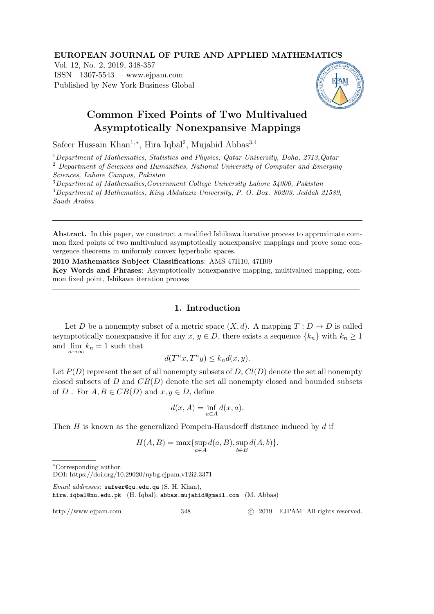### EUROPEAN JOURNAL OF PURE AND APPLIED MATHEMATICS

Vol. 12, No. 2, 2019, 348-357 ISSN 1307-5543 – www.ejpam.com Published by New York Business Global



# Common Fixed Points of Two Multivalued Asymptotically Nonexpansive Mappings

Safeer Hussain Khan<sup>1,\*</sup>, Hira Iqbal<sup>2</sup>, Mujahid Abbas<sup>3,4</sup>

<sup>1</sup>Department of Mathematics, Statistics and Physics, Qatar University, Doha, 2713,Qatar <sup>2</sup> Department of Sciences and Humanities, National University of Computer and Emerging Sciences, Lahore Campus, Pakistan

<sup>3</sup>Department of Mathematics,Government College University Lahore 54000, Pakistan <sup>4</sup>Department of Mathematics, King Abdulaziz University, P. O. Box. 80203, Jeddah 21589, Saudi Arabia

Abstract. In this paper, we construct a modified Ishikawa iterative process to approximate common fixed points of two multivalued asymptotically nonexpansive mappings and prove some convergence theorems in uniformly convex hyperbolic spaces.

2010 Mathematics Subject Classifications: AMS 47H10, 47H09

Key Words and Phrases: Asymptotically nonexpansive mapping, multivalued mapping, common fixed point, Ishikawa iteration process

## 1. Introduction

Let D be a nonempty subset of a metric space  $(X, d)$ . A mapping  $T : D \to D$  is called asymptotically nonexpansive if for any  $x, y \in D$ , there exists a sequence  $\{k_n\}$  with  $k_n \geq 1$ and  $\lim_{n \to \infty} k_n = 1$  such that

$$
d(T^n x, T^n y) \le k_n d(x, y).
$$

Let  $P(D)$  represent the set of all nonempty subsets of D,  $Cl(D)$  denote the set all nonempty closed subsets of  $D$  and  $CB(D)$  denote the set all nonempty closed and bounded subsets of D. For  $A, B \in CB(D)$  and  $x, y \in D$ , define

$$
d(x, A) = \inf_{a \in A} d(x, a).
$$

Then  $H$  is known as the generalized Pompeiu-Hausdorff distance induced by  $d$  if

$$
H(A, B) = \max\{\sup_{a \in A} d(a, B), \sup_{b \in B} d(A, b)\}.
$$

Email addresses: safeer@qu.edu.qa (S. H. Khan),

hira.iqbal@nu.edu.pk (H. Iqbal), abbas.mujahid@gmail.com (M. Abbas)

http://www.ejpam.com 348 c 2019 EJPAM All rights reserved.

<sup>∗</sup>Corresponding author.

DOI: https://doi.org/10.29020/nybg.ejpam.v12i2.3371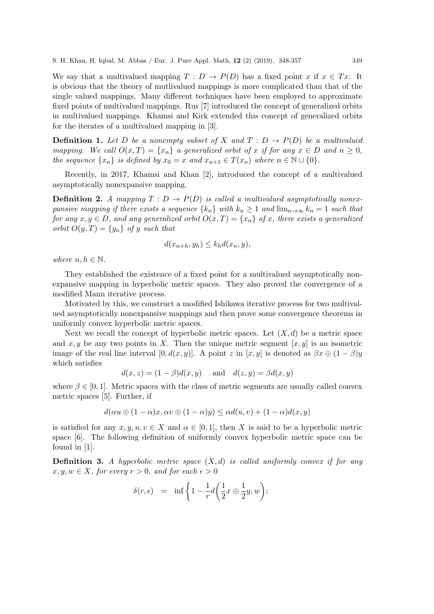We say that a multivalued mapping  $T : D \to P(D)$  has a fixed point  $x$  if  $x \in Tx$ . It is obvious that the theory of mutlivalued mappings is more complicated than that of the single valued mappings. Many different techniques have been employed to approximate fixed points of multivalued mappings. Rus [7] introduced the concept of generalized orbits in multivalued mappings. Khamsi and Kirk extended this concept of generalized orbits for the iterates of a multivalued mapping in [3].

**Definition 1.** Let D be a nonempty subset of X and  $T: D \to P(D)$  be a multivalued mapping. We call  $O(x,T) = \{x_n\}$  a generalized orbit of x if for any  $x \in D$  and  $n \ge 0$ , the sequence  $\{x_n\}$  is defined by  $x_0 = x$  and  $x_{n+1} \in T(x_n)$  where  $n \in \mathbb{N} \cup \{0\}$ .

Recently, in 2017, Khamsi and Khan [2], introduced the concept of a multivalued asymptotically nonexpansive mapping.

**Definition 2.** A mapping  $T: D \to P(D)$  is called a multivalued asymptotically nonexpansive mapping if there exists a sequence  $\{k_n\}$  with  $k_n \geq 1$  and  $\lim_{n\to\infty} k_n = 1$  such that for any  $x, y \in D$ , and any generalized orbit  $O(x,T) = \{x_n\}$  of x, there exists a generalized orbit  $O(y,T) = \{y_n\}$  of y such that

$$
d(x_{n+h}, y_h) \le k_h d(x_n, y),
$$

where  $n, h \in \mathbb{N}$ .

They established the existence of a fixed point for a multivalued asymptotically nonexpansive mapping in hyperbolic metric spaces. They also proved the convergence of a modified Mann iterative process.

Motivated by this, we construct a modified Ishikawa iterative process for two multivalued asymptotically nonexpansive mappings and then prove some convergence theorems in uniformly convex hyperbolic metric spaces.

Next we recall the concept of hyperbolic metric spaces. Let  $(X, d)$  be a metric space and  $x, y$  be any two points in X. Then the unique metric segment  $[x, y]$  is an isometric image of the real line interval  $[0, d(x, y)]$ . A point z in  $[x, y]$  is denoted as  $\beta x \oplus (1 - \beta)y$ which satisfies

$$
d(x, z) = (1 - \beta)d(x, y) \quad \text{and} \quad d(z, y) = \beta d(x, y)
$$

where  $\beta \in [0, 1]$ . Metric spaces with the class of metric segments are usually called convex metric spaces [5]. Further, if

$$
d(\alpha u \oplus (1 - \alpha)x, \alpha v \oplus (1 - \alpha)y) \leq \alpha d(u, v) + (1 - \alpha)d(x, y)
$$

is satisfied for any  $x, y, u, v \in X$  and  $\alpha \in [0, 1]$ , then X is said to be a hyperbolic metric space [6]. The following definition of uniformly convex hyperbolic metric space can be found in [1].

**Definition 3.** A hyperbolic metric space  $(X, d)$  is called uniformly convex if for any  $x, y, w \in X$ , for every  $r > 0$ , and for each  $\epsilon > 0$ 

$$
\delta(r,\epsilon) = \inf \left\{ 1 - \frac{1}{r} d\left(\frac{1}{2}x \oplus \frac{1}{2}y, w\right); \right\}
$$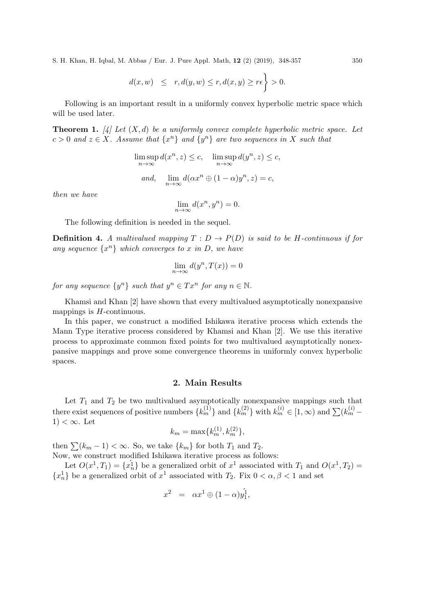S. H. Khan, H. Iqbal, M. Abbas / Eur. J. Pure Appl. Math, 12 (2) (2019), 348-357 350

$$
d(x, w) \leq r, d(y, w) \leq r, d(x, y) \geq r\epsilon \bigg\} > 0.
$$

Following is an important result in a uniformly convex hyperbolic metric space which will be used later.

**Theorem 1.** [4] Let  $(X, d)$  be a uniformly convex complete hyperbolic metric space. Let  $c > 0$  and  $z \in X$ . Assume that  $\{x^n\}$  and  $\{y^n\}$  are two sequences in X such that

$$
\limsup_{n \to \infty} d(x^n, z) \le c, \quad \limsup_{n \to \infty} d(y^n, z) \le c,
$$
  
and, 
$$
\lim_{n \to \infty} d(\alpha x^n \oplus (1 - \alpha) y^n, z) = c,
$$

then we have

$$
\lim_{n \to \infty} d(x^n, y^n) = 0.
$$

The following definition is needed in the sequel.

**Definition 4.** A multivalued mapping  $T : D \to P(D)$  is said to be H-continuous if for any sequence  $\{x^n\}$  which converges to x in D, we have

$$
\lim_{n \to \infty} d(y^n, T(x)) = 0
$$

for any sequence  $\{y^n\}$  such that  $y^n \in Tx^n$  for any  $n \in \mathbb{N}$ .

Khamsi and Khan [2] have shown that every multivalued asymptotically nonexpansive mappings is  $H$ -continuous.

In this paper, we construct a modified Ishikawa iterative process which extends the Mann Type iterative process considered by Khamsi and Khan [2]. We use this iterative process to approximate common fixed points for two multivalued asymptotically nonexpansive mappings and prove some convergence theorems in uniformly convex hyperbolic spaces.

#### 2. Main Results

Let  $T_1$  and  $T_2$  be two multivalued asymptotically nonexpansive mappings such that there exist sequences of positive numbers  $\{k_m^{(1)}\}$  and  $\{k_m^{(2)}\}$  with  $k_m^{(i)} \in [1, \infty)$  and  $\sum (k_m^{(i)} 1) < \infty$ . Let

$$
k_m = \max\{k_m^{(1)}, k_m^{(2)}\},\
$$

then  $\sum (k_m - 1) < \infty$ . So, we take  $\{k_m\}$  for both  $T_1$  and  $T_2$ . Now, we construct modified Ishikawa iterative process as follows:

Let  $O(x^1, T_1) = \{x_n^1\}$  be a generalized orbit of  $x^1$  associated with  $T_1$  and  $O(x^1, T_2)$  ${x_n}$  be a generalized orbit of  $x^1$  associated with  $T_2$ . Fix  $0 < \alpha, \beta < 1$  and set

$$
x^2 = \alpha x^1 \oplus (1 - \alpha) y_1^1,
$$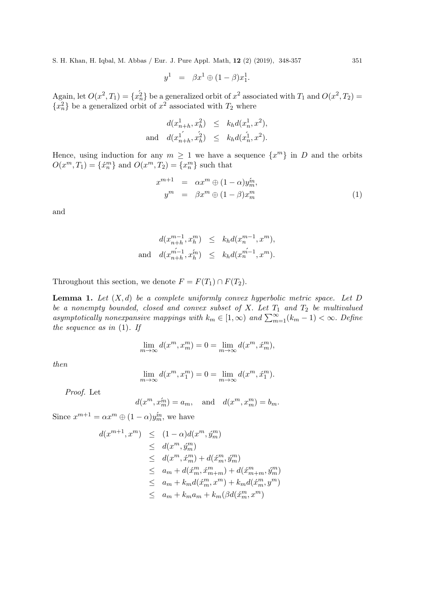S. H. Khan, H. Iqbal, M. Abbas / Eur. J. Pure Appl. Math, 12 (2) (2019), 348-357 351

$$
y^1 = \beta x^1 \oplus (1 - \beta)x_1^1.
$$

Again, let  $O(x^2, T_1) = \{x_n^2\}$  be a generalized orbit of  $x^2$  associated with  $T_1$  and  $O(x^2, T_2)$  ${x_n^2}$  be a generalized orbit of  $x^2$  associated with  $T_2$  where

$$
d(x_{n+h}^1, x_h^2) \le k_h d(x_n^1, x^2),
$$
  
and 
$$
d(x_{n+h}^1, x_h^2) \le k_h d(x_n^1, x^2).
$$

Hence, using induction for any  $m \geq 1$  we have a sequence  $\{x^m\}$  in D and the orbits  $O(x^m, T_1) = \{\dot{x}_n^m\}$  and  $O(x^m, T_2) = \{x_n^m\}$  such that

$$
x^{m+1} = \alpha x^m \oplus (1 - \alpha) y_m^m,
$$
  
\n
$$
y^m = \beta x^m \oplus (1 - \beta) x_m^m
$$
\n(1)

and

$$
d(x_{n+h}^{m-1}, x_n^m) \le k_h d(x_n^{m-1}, x^m),
$$
  
and 
$$
d(x_{n+h}^{m-1}, x_n^m) \le k_h d(x_n^{m-1}, x^m).
$$

Throughout this section, we denote  $F = F(T_1) \cap F(T_2)$ .

**Lemma 1.** Let  $(X, d)$  be a complete uniformly convex hyperbolic metric space. Let D be a nonempty bounded, closed and convex subset of X. Let  $T_1$  and  $T_2$  be multivalued asymptotically nonexpansive mappings with  $k_m \in [1,\infty)$  and  $\sum_{m=1}^{\infty} (k_m - 1) < \infty$ . Define the sequence as in  $(1)$ . If

$$
\lim_{m \to \infty} d(x^m, x_m^m) = 0 = \lim_{m \to \infty} d(x^m, \acute{x}_m^m),
$$

then

$$
\lim_{m \to \infty} d(x^m, x_1^m) = 0 = \lim_{m \to \infty} d(x^m, \acute{x}_1^m).
$$

Proof. Let

$$
d(x^m, x_m^{\hat{m}}) = a_m, \text{ and } d(x^m, x_m^m) = b_m.
$$

Since  $x^{m+1} = \alpha x^m \oplus (1 - \alpha) y_m^m$ , we have

$$
d(x^{m+1}, x^m) \leq (1 - \alpha)d(x^m, \acute{y}_m^m)
$$
  
\n
$$
\leq d(x^m, \acute{y}_m^m)
$$
  
\n
$$
\leq d(x^m, \acute{x}_m^m) + d(\acute{x}_m^m, \acute{y}_m^m)
$$
  
\n
$$
\leq a_m + d(\acute{x}_m^m, \acute{x}_{m+m}^m) + d(\acute{x}_{m+m}^m, \acute{y}_m^m)
$$
  
\n
$$
\leq a_m + k_m d(\acute{x}_m^m, x^m) + k_m d(\acute{x}_m^m, y^m)
$$
  
\n
$$
\leq a_m + k_m a_m + k_m (\beta d(\acute{x}_m^m, x^m))
$$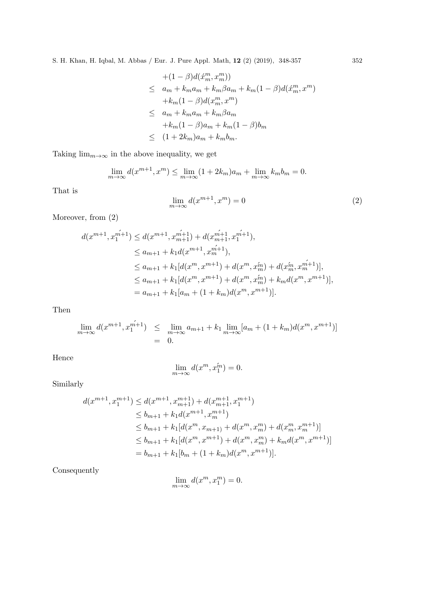S. H. Khan, H. Iqbal, M. Abbas / Eur. J. Pure Appl. Math, 12 (2) (2019), 348-357 352

$$
+(1 - \beta)d(\acute{x}_{m}^{m}, x_{m}^{m}))
$$
  
\n
$$
\leq a_{m} + k_{m}a_{m} + k_{m}\beta a_{m} + k_{m}(1 - \beta)d(\acute{x}_{m}^{m}, x^{m})
$$
  
\n
$$
+k_{m}(1 - \beta)d(x_{m}^{m}, x^{m})
$$
  
\n
$$
\leq a_{m} + k_{m}a_{m} + k_{m}\beta a_{m}
$$
  
\n
$$
+k_{m}(1 - \beta)a_{m} + k_{m}(1 - \beta)b_{m}
$$
  
\n
$$
\leq (1 + 2k_{m})a_{m} + k_{m}b_{m}.
$$

Taking  $\lim_{m\to\infty}$  in the above inequality, we get

$$
\lim_{m \to \infty} d(x^{m+1}, x^m) \le \lim_{m \to \infty} (1 + 2k_m)a_m + \lim_{m \to \infty} k_m b_m = 0.
$$

That is

$$
\lim_{m \to \infty} d(x^{m+1}, x^m) = 0
$$
\n(2)

Moreover, from  $(2)$ 

$$
d(x^{m+1}, x_1^{\hat{m+1}}) \le d(x^{m+1}, x_{m+1}^{\hat{m+1}}) + d(x_{m+1}^{\hat{m+1}}, x_1^{\hat{m+1}}),
$$
  
\n
$$
\le a_{m+1} + k_1 d(x^{m+1}, x_m^{\hat{m+1}}),
$$
  
\n
$$
\le a_{m+1} + k_1 [d(x^m, x^{m+1}) + d(x^m, x_m^{\hat{m}}) + d(x_m^{\hat{m}}, x_m^{\hat{m+1}})],
$$
  
\n
$$
\le a_{m+1} + k_1 [d(x^m, x^{m+1}) + d(x^m, x_m^{\hat{m}}) + k_m d(x^m, x^{m+1})],
$$
  
\n
$$
= a_{m+1} + k_1 [a_m + (1 + k_m) d(x^m, x^{m+1})].
$$

Then

$$
\lim_{m \to \infty} d(x^{m+1}, x_1^{m+1}) \leq \lim_{m \to \infty} a_{m+1} + k_1 \lim_{m \to \infty} [a_m + (1 + k_m) d(x^m, x^{m+1})]
$$
  
= 0.

Hence

$$
\lim_{m \to \infty} d(x^m, x_1^m) = 0.
$$

Similarly

$$
d(x^{m+1}, x_1^{m+1}) \le d(x^{m+1}, x_{m+1}^{m+1}) + d(x_{m+1}^{m+1}, x_1^{m+1})
$$
  
\n
$$
\le b_{m+1} + k_1 d(x^{m+1}, x_m^{m+1})
$$
  
\n
$$
\le b_{m+1} + k_1 [d(x^m, x_{m+1}) + d(x^m, x_m^m) + d(x_m^m, x_m^{m+1})]
$$
  
\n
$$
\le b_{m+1} + k_1 [d(x^m, x^{m+1}) + d(x^m, x_m^m) + k_m d(x^m, x^{m+1})]
$$
  
\n
$$
= b_{m+1} + k_1 [b_m + (1 + k_m) d(x^m, x^{m+1})].
$$

Consequently

$$
\lim_{m \to \infty} d(x^m, x_1^m) = 0.
$$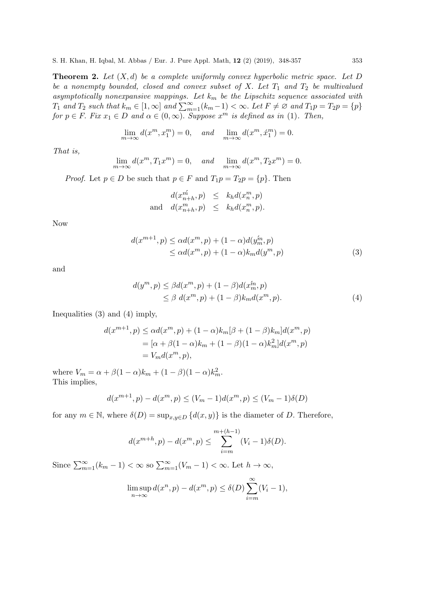**Theorem 2.** Let  $(X, d)$  be a complete uniformly convex hyperbolic metric space. Let D be a nonempty bounded, closed and convex subset of X. Let  $T_1$  and  $T_2$  be multivalued asymptotically nonexpansive mappings. Let  $k_m$  be the Lipschitz sequence associated with  $T_1$  and  $T_2$  such that  $k_m \in [1,\infty]$  and  $\sum_{m=1}^{\infty} (k_m-1) < \infty$ . Let  $F \neq \emptyset$  and  $T_1p = T_2p = \{p\}$ for  $p \in F$ . Fix  $x_1 \in D$  and  $\alpha \in (0, \infty)$ . Suppose  $x^m$  is defined as in (1). Then,

$$
\lim_{m \to \infty} d(x^m, x_1^m) = 0, \quad \text{and} \quad \lim_{m \to \infty} d(x^m, \acute{x}_1^m) = 0.
$$

That is,

$$
\lim_{m \to \infty} d(x^m, T_1 x^m) = 0, \quad and \quad \lim_{m \to \infty} d(x^m, T_2 x^m) = 0.
$$

*Proof.* Let  $p \in D$  be such that  $p \in F$  and  $T_1p = T_2p = \{p\}$ . Then

$$
d(x_{n+h}^{\acute{m}},p) \leq k_h d(x_n^m,p)
$$
  
and 
$$
d(x_{n+h}^m,p) \leq k_h d(x_n^m,p).
$$

Now

$$
d(x^{m+1}, p) \le \alpha d(x^m, p) + (1 - \alpha) d(y_m^m, p)
$$
  
\n
$$
\le \alpha d(x^m, p) + (1 - \alpha) k_m d(y^m, p)
$$
\n(3)

and

$$
d(ym, p) \leq \beta d(xm, p) + (1 - \beta) d(xm, p)
$$
  
\n
$$
\leq \beta d(xm, p) + (1 - \beta) km d(xm, p).
$$
 (4)

Inequalities (3) and (4) imply,

$$
d(x^{m+1}, p) \le \alpha d(x^m, p) + (1 - \alpha)k_m[\beta + (1 - \beta)k_m]d(x^m, p)
$$
  
=  $[\alpha + \beta(1 - \alpha)k_m + (1 - \beta)(1 - \alpha)k_m^2]d(x^m, p)$   
=  $V_m d(x^m, p),$ 

where  $V_m = \alpha + \beta(1 - \alpha)k_m + (1 - \beta)(1 - \alpha)k_m^2$ . This implies,

$$
d(x^{m+1},p) - d(x^m,p) \le (V_m - 1)d(x^m,p) \le (V_m - 1)\delta(D)
$$

for any  $m \in \mathbb{N}$ , where  $\delta(D) = \sup_{x,y \in D} \{d(x,y)\}\$ is the diameter of D. Therefore,

$$
d(x^{m+h}, p) - d(x^m, p) \le \sum_{i=m}^{m+(h-1)} (V_i - 1)\delta(D).
$$

Since  $\sum_{m=1}^{\infty} (k_m - 1) < \infty$  so  $\sum_{m=1}^{\infty} (V_m - 1) < \infty$ . Let  $h \to \infty$ ,

$$
\limsup_{n \to \infty} d(x^n, p) - d(x^m, p) \le \delta(D) \sum_{i=m}^{\infty} (V_i - 1),
$$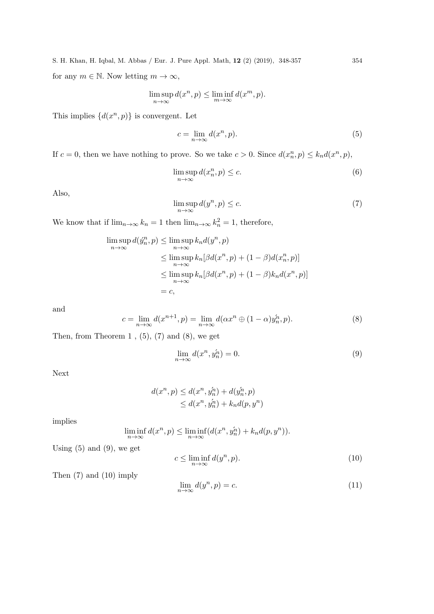S. H. Khan, H. Iqbal, M. Abbas / Eur. J. Pure Appl. Math, 12 (2) (2019), 348-357 354 for any  $m \in \mathbb{N}$ . Now letting  $m \to \infty$ ,

$$
\limsup_{n \to \infty} d(x^n, p) \le \liminf_{m \to \infty} d(x^m, p).
$$

This implies  $\{d(x^n, p)\}\$ is convergent. Let

$$
c = \lim_{n \to \infty} d(x^n, p). \tag{5}
$$

If  $c = 0$ , then we have nothing to prove. So we take  $c > 0$ . Since  $d(x_n^n, p) \leq k_n d(x^n, p)$ ,

$$
\limsup_{n \to \infty} d(x_n^n, p) \le c. \tag{6}
$$

Also,

$$
\limsup_{n \to \infty} d(y^n, p) \le c. \tag{7}
$$

We know that if  $\lim_{n\to\infty} k_n = 1$  then  $\lim_{n\to\infty} k_n^2 = 1$ , therefore,

$$
\limsup_{n \to \infty} d(\hat{y}_n^n, p) \le \limsup_{n \to \infty} k_n d(y^n, p)
$$
\n
$$
\le \limsup_{n \to \infty} k_n [\beta d(x^n, p) + (1 - \beta) d(x_n^n, p)]
$$
\n
$$
\le \limsup_{n \to \infty} k_n [\beta d(x^n, p) + (1 - \beta) k_n d(x^n, p)]
$$
\n
$$
= c,
$$

and

$$
c = \lim_{n \to \infty} d(x^{n+1}, p) = \lim_{n \to \infty} d(\alpha x^n \oplus (1 - \alpha) y_n^n, p). \tag{8}
$$

Then, from Theorem 1,  $(5)$ ,  $(7)$  and  $(8)$ , we get

$$
\lim_{n \to \infty} d(x^n, y_n^n) = 0. \tag{9}
$$

Next

$$
d(x^n, p) \le d(x^n, y_n^{\hat{n}}) + d(y_n^{\hat{n}}, p)
$$
  
\n
$$
\le d(x^n, y_n^{\hat{n}}) + k_n d(p, y^n)
$$

implies

$$
\liminf_{n \to \infty} d(x^n, p) \le \liminf_{n \to \infty} (d(x^n, y_n^h) + k_n d(p, y^n)).
$$

Using  $(5)$  and  $(9)$ , we get

$$
c \le \liminf_{n \to \infty} d(y^n, p). \tag{10}
$$

Then (7) and (10) imply

$$
\lim_{n \to \infty} d(y^n, p) = c. \tag{11}
$$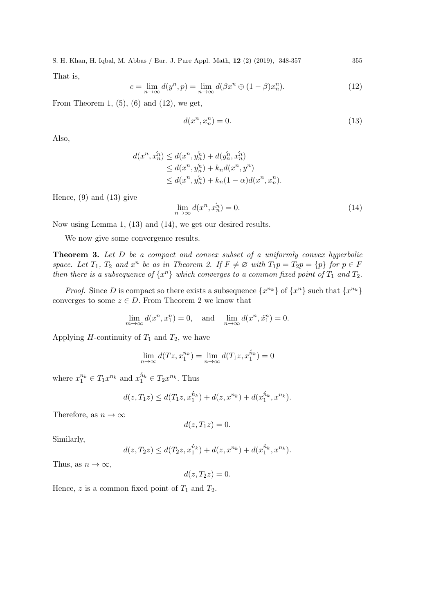S. H. Khan, H. Iqbal, M. Abbas / Eur. J. Pure Appl. Math, 12 (2) (2019), 348-357 355 That is,

$$
c = \lim_{n \to \infty} d(y^n, p) = \lim_{n \to \infty} d(\beta x^n \oplus (1 - \beta) x_n^n). \tag{12}
$$

From Theorem 1,  $(5)$ ,  $(6)$  and  $(12)$ , we get,

$$
d(x^n, x_n^n) = 0.\t\t(13)
$$

Also,

$$
d(x^n, \hat{x}_n^{\hat{n}}) \le d(x^n, \hat{y}_n^{\hat{n}}) + d(\hat{y}_n^{\hat{n}}, \hat{x}_n^{\hat{n}})
$$
  
\n
$$
\le d(x^n, \hat{y}_n^{\hat{n}}) + k_n d(x^n, y^n)
$$
  
\n
$$
\le d(x^n, \hat{y}_n^{\hat{n}}) + k_n (1 - \alpha) d(x^n, x_n^n).
$$

Hence,  $(9)$  and  $(13)$  give

$$
\lim_{n \to \infty} d(x^n, \acute{x}_n^n) = 0. \tag{14}
$$

Now using Lemma 1, (13) and (14), we get our desired results.

We now give some convergence results.

Theorem 3. Let D be a compact and convex subset of a uniformly convex hyperbolic space. Let  $T_1$ ,  $T_2$  and  $x^n$  be as in Theorem 2. If  $F \neq \emptyset$  with  $T_1p = T_2p = \{p\}$  for  $p \in F$ then there is a subsequence of  $\{x^n\}$  which converges to a common fixed point of  $T_1$  and  $T_2$ .

*Proof.* Since D is compact so there exists a subsequence  $\{x^{n_k}\}\$  of  $\{x^n\}$  such that  $\{x^{n_k}\}\$ converges to some  $z \in D$ . From Theorem 2 we know that

$$
\lim_{m \to \infty} d(x^n, x_1^n) = 0, \text{ and } \lim_{n \to \infty} d(x^n, x_1^n) = 0.
$$

Applying *H*-continuity of  $T_1$  and  $T_2$ , we have

$$
\lim_{n \to \infty} d(Tz, x_1^{n_k}) = \lim_{n \to \infty} d(T_1z, x_1^{\hat{n}_k}) = 0
$$

where  $x_1^{n_k} \in T_1 x^{n_k}$  and  $x_1^{\acute{n}_k} \in T_2 x^{n_k}$ . Thus

$$
d(z, T_1 z) \le d(T_1 z, x_1^{\hat{n}_k}) + d(z, x^{n_k}) + d(x_1^{\hat{n}_k}, x^{n_k}).
$$

Therefore, as  $n \to \infty$ 

$$
d(z,T_1z)=0.
$$

Similarly,

$$
d(z, T_2 z) \le d(T_2 z, x_1^{\hat{n}_k}) + d(z, x^{n_k}) + d(x_1^{\hat{n}_k}, x^{n_k}).
$$

Thus, as  $n \to \infty$ ,

$$
d(z,T_2z)=0.
$$

Hence, z is a common fixed point of  $T_1$  and  $T_2$ .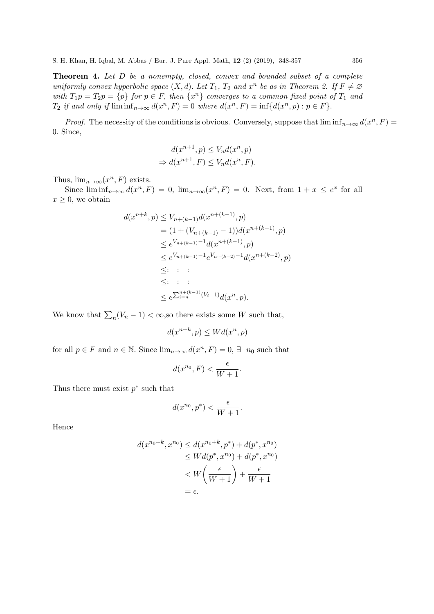Theorem 4. Let D be a nonempty, closed, convex and bounded subset of a complete uniformly convex hyperbolic space  $(X, d)$ . Let  $T_1$ ,  $T_2$  and  $x^n$  be as in Theorem 2. If  $F \neq \emptyset$ with  $T_1p = T_2p = \{p\}$  for  $p \in F$ , then  $\{x^n\}$  converges to a common fixed point of  $T_1$  and  $T_2$  if and only if  $\liminf_{n\to\infty} d(x^n, F) = 0$  where  $d(x^n, F) = \inf \{d(x^n, p) : p \in F\}.$ 

*Proof.* The necessity of the conditions is obvious. Conversely, suppose that  $\liminf_{n\to\infty} d(x^n, F) =$ 0. Since,

$$
d(x^{n+1}, p) \le V_n d(x^n, p)
$$
  
\n
$$
\Rightarrow d(x^{n+1}, F) \le V_n d(x^n, F).
$$

Thus,  $\lim_{n\to\infty} (x^n, F)$  exists.

Since  $\liminf_{n\to\infty} d(x^n, F) = 0$ ,  $\lim_{n\to\infty} (x^n, F) = 0$ . Next, from  $1 + x \le e^x$  for all  $x \geq 0$ , we obtain

$$
d(x^{n+k}, p) \le V_{n+(k-1)} d(x^{n+(k-1)}, p)
$$
  
=  $(1 + (V_{n+(k-1)} - 1))d(x^{n+(k-1)}, p)$   
 $\le e^{V_{n+(k-1)}-1}d(x^{n+(k-1)}, p)$   
 $\le e^{V_{n+(k-1)}-1}e^{V_{n+(k-2)}-1}d(x^{n+(k-2)}, p)$   
 $\le \colon \therefore$   
 $\le \colon \le \colon \le$   
 $\le e^{\sum_{i=n}^{n+(k-1)}(V_i-1)}d(x^n, p).$ 

We know that  $\sum_{n}(V_n - 1) < \infty$ , so there exists some W such that,

$$
d(x^{n+k}, p) \le Wd(x^n, p)
$$

for all  $p \in F$  and  $n \in \mathbb{N}$ . Since  $\lim_{n \to \infty} d(x^n, F) = 0, \exists n_0$  such that

$$
d(x^{n_0}, F) < \frac{\epsilon}{W + 1}.
$$

Thus there must exist  $p^*$  such that

$$
d(x^{n_0}, p^*) < \frac{\epsilon}{W+1}.
$$

Hence

$$
d(x^{n_0+k}, x^{n_0}) \le d(x^{n_0+k}, p^*) + d(p^*, x^{n_0})
$$
  
\n
$$
\le Wd(p^*, x^{n_0}) + d(p^*, x^{n_0})
$$
  
\n
$$
< W\left(\frac{\epsilon}{W+1}\right) + \frac{\epsilon}{W+1}
$$
  
\n
$$
= \epsilon.
$$